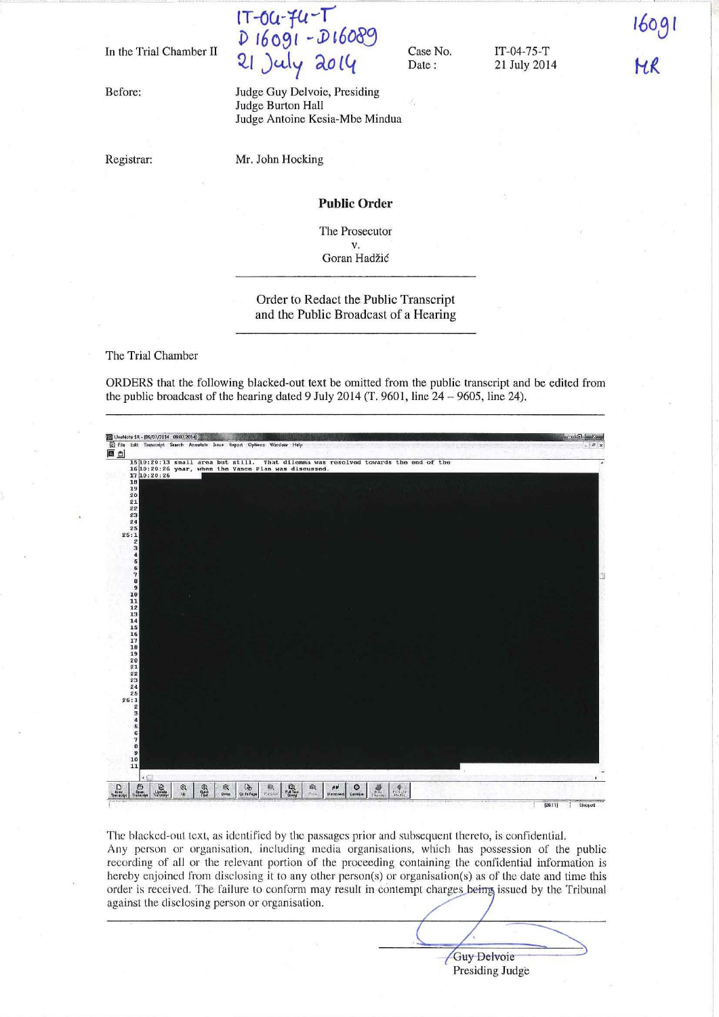In the Trial Chamber II

Before:

**Registrar:** 

 $\mathbf{u}$ - $\mathbf{u}$ **D r6091 -J)I6083**  ~I **)uJy ao <sup>14</sup>**

Case No, Date:

IT-04-7S-T 21 July 2014  $16091$ НR

Judge Guy Delvoie, Presiding Judge Burton Hall Judge Antoine Kesia-Mbe Mindua

Mr. John Hocking

#### **Public Order**

The Prosecutor v,

Goran Hadžić

## Order to Redact the Public Transcript and the Public Broadcast of a Hearing

The Trial Chamber

ORDERS that the following blacked-out text be omitted from the public transcript and be edited from the public broadcast of the hearing dated 9 July 2014 (T, 9601, line  $24 - 9605$ , line 24).



The blacked-out text, as identified by the passages prior and subsequent thereto, is confidential. Any person or organisation, including media organisations, which has possession of the public **recording of all or the relevant portion of the proceeding containing the confidential information is**  hereby enjoined from disclosing it to any other person(s) or organisation(s) as of the date and time this order is received. The failure to conform may result in contempt charges being issued by the Tribunal **against the disclosing person or organisation.** 

Guy Delvoie  $\overline{~}$ Presiding Judge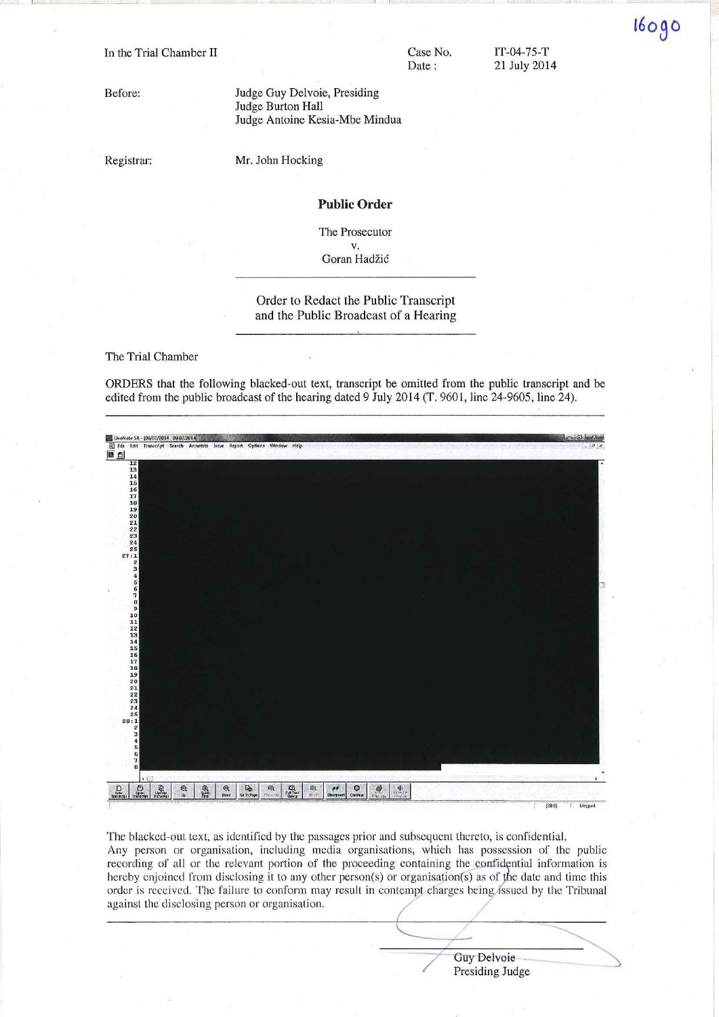In the Trial Chamber II

Case No. Date:

IT-04-75-T 21 July 2014 160g0

Before:

Judge Guy Delvoie, Presiding Judge Burton Hall Judge Antoine Kesia-Mbe Mindua

Registrar:

Mr. John Hocking

#### **Public Order**

The Prosecutor  $V_{\cdot}$ 

Goran Hadžić

## Order to Redact the Public Transcript and the Public Broadcast of a Hearing

The Trial Chamber

ORDERS that the following blacked-out text, transcript be omitted from the public transcript and be edited from the public broadcast of the hearing dated 9 July 2014 (T. 9601, line 24-9605, line 24).



The blacked-out text, as identified by the passages prior and subsequent thereto, is confidential. Any person or organisation, including media organisations, which has possession of the public recording of all or the relevant portion of the proceeding containing the confidential information is hereby enjoined from disclosing it to any other person(s) or organisation(s) as of the date and time this order is received. The failure to conform may result in contempt charges being issued by the Tribunal against the disclosing person or organisation.

> Guy Delvoie Presiding Judge